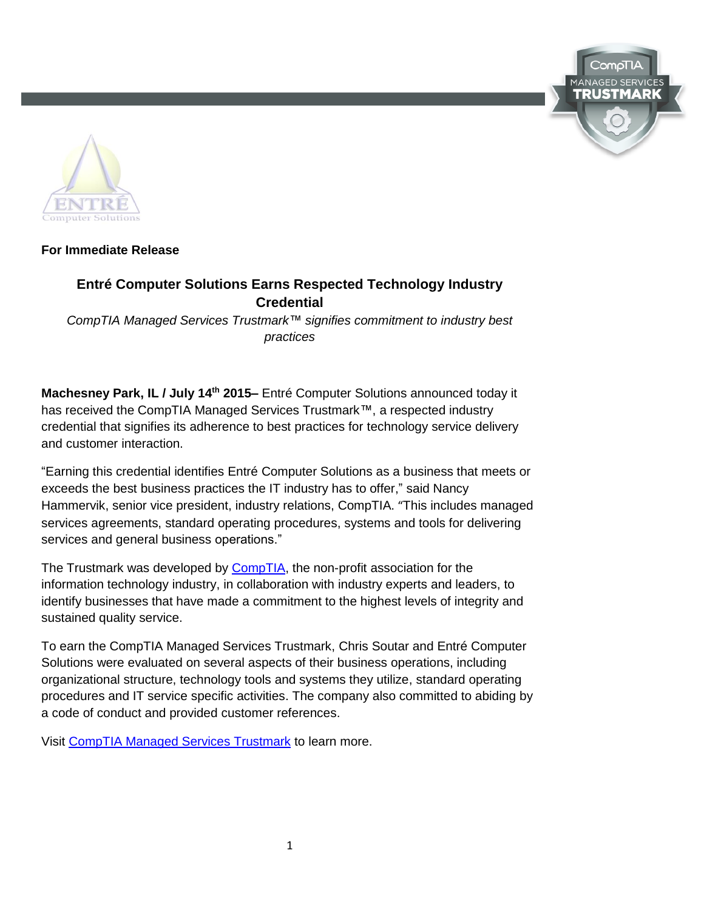



## **For Immediate Release**

# **Entré Computer Solutions Earns Respected Technology Industry Credential**

*CompTIA Managed Services Trustmark™ signifies commitment to industry best practices*

**Machesney Park, IL / July 14th 2015–** Entré Computer Solutions announced today it has received the CompTIA Managed Services Trustmark™, a respected industry credential that signifies its adherence to best practices for technology service delivery and customer interaction.

"Earning this credential identifies Entré Computer Solutions as a business that meets or exceeds the best business practices the IT industry has to offer," said Nancy Hammervik, senior vice president, industry relations, CompTIA. "This includes managed services agreements, standard operating procedures, systems and tools for delivering services and general business operations."

The Trustmark was developed by [CompTIA,](http://www.comptia.org/home.aspx) the non-profit association for the information technology industry, in collaboration with industry experts and leaders, to identify businesses that have made a commitment to the highest levels of integrity and sustained quality service.

To earn the CompTIA Managed Services Trustmark, Chris Soutar and Entré Computer Solutions were evaluated on several aspects of their business operations, including organizational structure, technology tools and systems they utilize, standard operating procedures and IT service specific activities. The company also committed to abiding by a code of conduct and provided customer references.

Visit [CompTIA Managed Services Trustmark](http://www.comptia.org/businesscred/msp.aspx) to learn more.